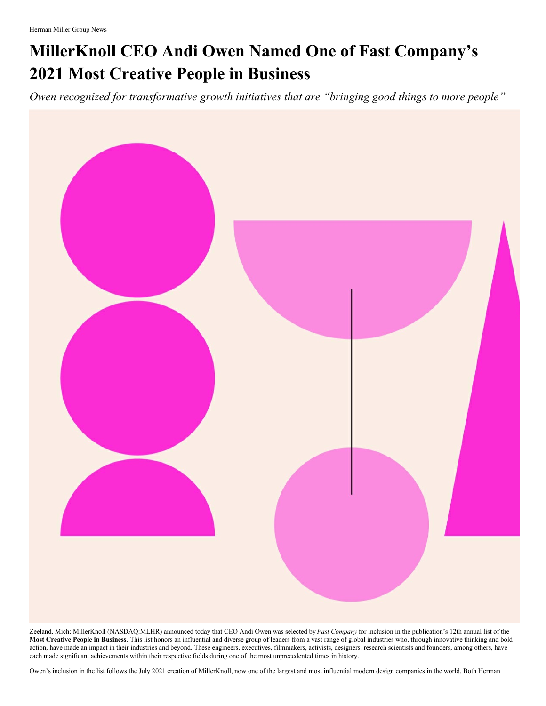## **MillerKnoll CEO Andi Owen Named One of Fast Company's 2021 Most Creative People in Business**

*Owen recognized for transformative growth initiatives that are "bringing good things to more people"*



Zeeland, Mich: MillerKnoll (NASDAQ:MLHR) announced today that CEO Andi Owen was selected by *Fast Company* for inclusion in the publication's 12th annual list of the **Most Creative People in Business**. This list honors an influential and diverse group of leaders from a vast range of global industries who, through innovative thinking and bold action, have made an impact in their industries and beyond. These engineers, executives, filmmakers, activists, designers, research scientists and founders, among others, have each made significant achievements within their respective fields during one of the most unprecedented times in history.

Owen's inclusion in the list follows the July 2021 creation of MillerKnoll, now one of the largest and most influential modern design companies in the world. Both Herman